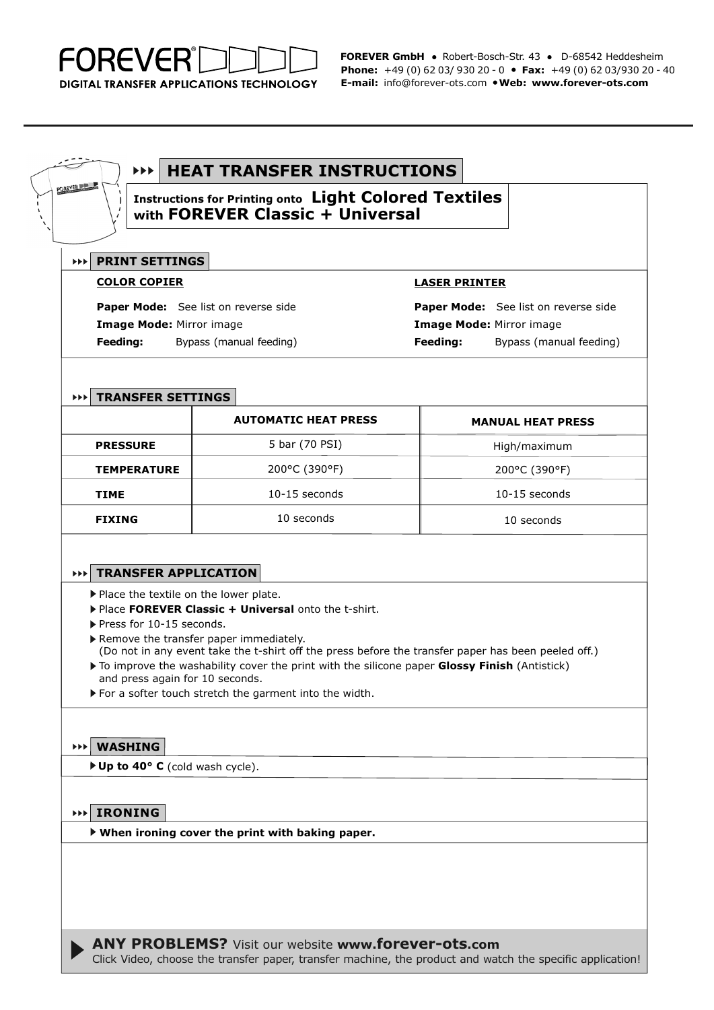

**FOREVER GmbH** ● Robert-Bosch-Str. 43 ● D-68542 Heddesheim **Phone:** +49 (0) 62 03/ 930 20 - 0 ● **Fax:** +49 (0) 62 03/930 20 - 40 **E-mail:** info@forever-ots.com ●**Web: www.forever-ots.com**

#### $\blacktriangleright\blacktriangleright\blacktriangleright$ **HEAT TRANSFER INSTRUCTIONS**

**Instructions for Printing onto Light Colored Textiles with FOREVER Classic + Universal**

# **PRINT SETTINGS**

FOREVER

### **COLOR COPIER**

**Paper Mode:** See list on reverse side **Image Mode:** Mirror image **Feeding:** Bypass (manual feeding)

### **LASER PRINTER**

**Paper Mode:** See list on reverse side **Image Mode:** Mirror image **Feeding:** Bypass (manual feeding)

# **TRANSFER SETTINGS**

|                    | <b>AUTOMATIC HEAT PRESS</b> | <b>MANUAL HEAT PRESS</b> |
|--------------------|-----------------------------|--------------------------|
| <b>PRESSURE</b>    | 5 bar (70 PSI)              | High/maximum             |
| <b>TEMPERATURE</b> | 200°C (390°F)               | 200°C (390°F)            |
| <b>TIME</b>        | $10-15$ seconds             | $10-15$ seconds          |
| <b>FIXING</b>      | 10 seconds                  | 10 seconds               |

# **TRANSFER APPLICATION**

Place the textile on the lower plate.

- Place **FOREVER Classic + Universal** onto the t-shirt.
- Press for 10-15 seconds.
- ▶ Remove the transfer paper immediately. (Do not in any event take the t-shirt off the press before the transfer paper has been peeled off.)
- To improve the washability cover the print with the silicone paper **Glossy Finish** (Antistick) and press again for 10 seconds.
- For a softer touch stretch the garment into the width.

# **WASHING**

**Up to 40° C** (cold wash cycle).

### **IRONING**

**When ironing cover the print with baking paper.**

**ANY PROBLEMS?** Visit our website **www.forever-ots.com**

Click Video, choose the transfer paper, transfer machine, the product and watch the specific application!